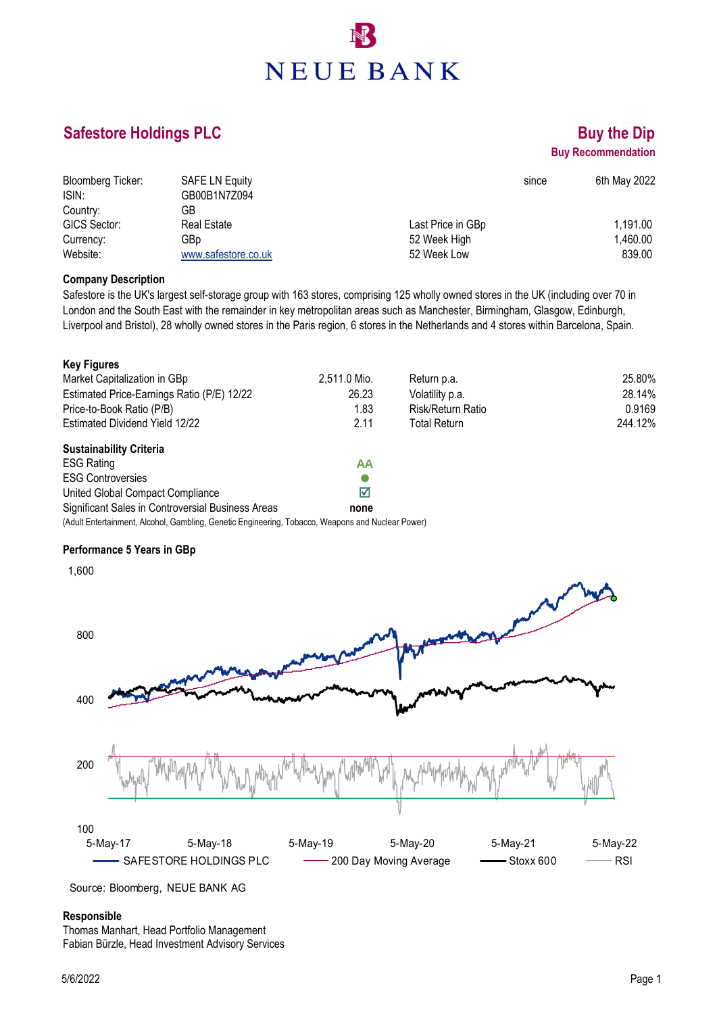# **NEUE BANK**

### **Safestore Holdings PLC Buy the Dip Buy the Dip**

## **Buy Recommendation**

| Bloomberg Ticker: | <b>SAFE LN Equity</b> | since             | 6th May 2022 |
|-------------------|-----------------------|-------------------|--------------|
| ISIN:             | GB00B1N7Z094          |                   |              |
| Country:          | GB                    |                   |              |
| GICS Sector:      | <b>Real Estate</b>    | Last Price in GBp | 1,191.00     |
| Currency:         | GBp                   | 52 Week High      | 1,460.00     |
| Website:          | www.safestore.co.uk   | 52 Week Low       | 839.00       |

#### **Company Description**

Safestore is the UK's largest self-storage group with 163 stores, comprising 125 wholly owned stores in the UK (including over 70 in London and the South East with the remainder in key metropolitan areas such as Manchester, Birmingham, Glasgow, Edinburgh, Liverpool and Bristol), 28 wholly owned stores in the Paris region, 6 stores in the Netherlands and 4 stores within Barcelona, Spain.

| <b>Key Figures</b>                                                                                |              |                   |         |
|---------------------------------------------------------------------------------------------------|--------------|-------------------|---------|
| Market Capitalization in GBp                                                                      | 2,511.0 Mio. | Return p.a.       | 25.80%  |
| Estimated Price-Earnings Ratio (P/E) 12/22                                                        | 26.23        | Volatility p.a.   | 28.14%  |
| Price-to-Book Ratio (P/B)                                                                         | 1.83         | Risk/Return Ratio | 0.9169  |
| Estimated Dividend Yield 12/22                                                                    | 2.11         | Total Return      | 244.12% |
| <b>Sustainability Criteria</b>                                                                    |              |                   |         |
| <b>ESG Rating</b>                                                                                 | ΑА           |                   |         |
| <b>ESG Controversies</b>                                                                          |              |                   |         |
| United Global Compact Compliance                                                                  | ☑            |                   |         |
| Significant Sales in Controversial Business Areas                                                 | none         |                   |         |
| (Adult Entertainment, Alcohol, Gambling, Genetic Engineering, Tobacco, Weapons and Nuclear Power) |              |                   |         |

#### **Performance 5 Years in GBp**



Quelle: Bloomberg, NEUE BANK AG Source: Bloomberg, NEUE BANK AG

#### **Responsible**

Thomas Manhart, Head Portfolio Management Fabian Bürzle, Head Investment Advisory Services